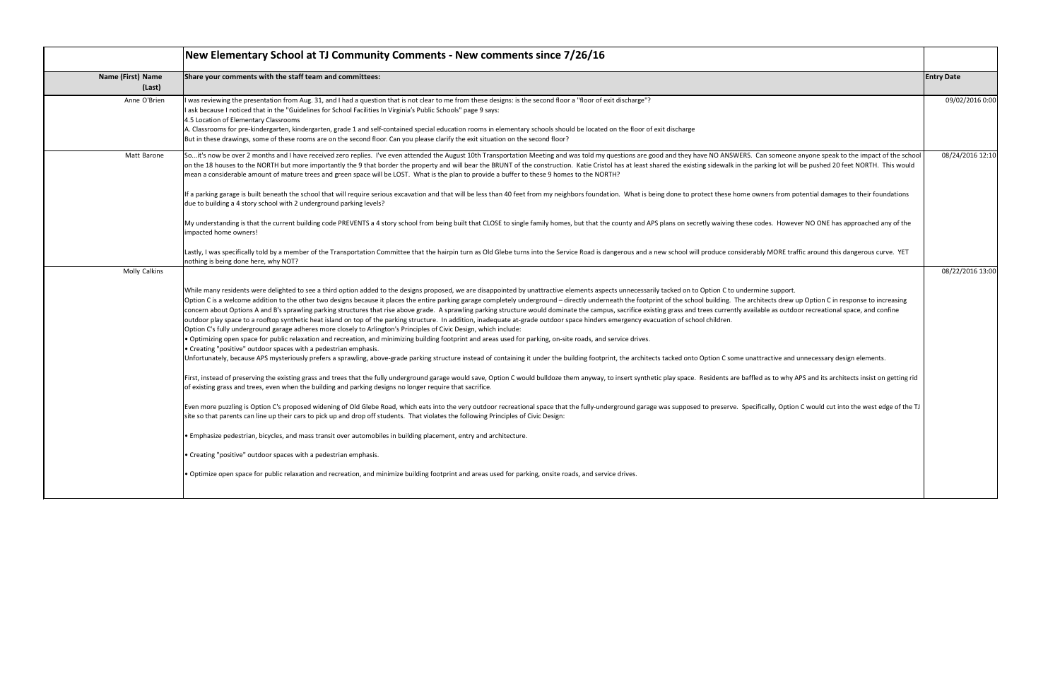|                             | New Elementary School at TJ Community Comments - New comments since 7/26/16                                                                                                                                                                                                                                                                                                                                                                                                                                                                                                                                                                                                                                                                                                                                                                                                                                                                                                                                                                                                                                                                                                                                                                                                                                                                                                                                                                                                                                                                                                                                                                                                                                                                                                                                                                                                                                                                                                                                                                                                                                                                                                                                                                                                                                                                                                                                                                                                                                                                          |                   |
|-----------------------------|------------------------------------------------------------------------------------------------------------------------------------------------------------------------------------------------------------------------------------------------------------------------------------------------------------------------------------------------------------------------------------------------------------------------------------------------------------------------------------------------------------------------------------------------------------------------------------------------------------------------------------------------------------------------------------------------------------------------------------------------------------------------------------------------------------------------------------------------------------------------------------------------------------------------------------------------------------------------------------------------------------------------------------------------------------------------------------------------------------------------------------------------------------------------------------------------------------------------------------------------------------------------------------------------------------------------------------------------------------------------------------------------------------------------------------------------------------------------------------------------------------------------------------------------------------------------------------------------------------------------------------------------------------------------------------------------------------------------------------------------------------------------------------------------------------------------------------------------------------------------------------------------------------------------------------------------------------------------------------------------------------------------------------------------------------------------------------------------------------------------------------------------------------------------------------------------------------------------------------------------------------------------------------------------------------------------------------------------------------------------------------------------------------------------------------------------------------------------------------------------------------------------------------------------------|-------------------|
| Name (First) Name<br>(Last) | Share your comments with the staff team and committees:                                                                                                                                                                                                                                                                                                                                                                                                                                                                                                                                                                                                                                                                                                                                                                                                                                                                                                                                                                                                                                                                                                                                                                                                                                                                                                                                                                                                                                                                                                                                                                                                                                                                                                                                                                                                                                                                                                                                                                                                                                                                                                                                                                                                                                                                                                                                                                                                                                                                                              | <b>Entry Date</b> |
| Anne O'Brien                | I was reviewing the presentation from Aug. 31, and I had a question that is not clear to me from these designs: is the second floor a "floor of exit discharge"?<br>I ask because I noticed that in the "Guidelines for School Facilities In Virginia's Public Schools" page 9 says:<br>4.5 Location of Elementary Classrooms<br>A. Classrooms for pre-kindergarten, kindergarten, grade 1 and self-contained special education rooms in elementary schools should be located on the floor of exit discharge<br>But in these drawings, some of these rooms are on the second floor. Can you please clarify the exit situation on the second floor?                                                                                                                                                                                                                                                                                                                                                                                                                                                                                                                                                                                                                                                                                                                                                                                                                                                                                                                                                                                                                                                                                                                                                                                                                                                                                                                                                                                                                                                                                                                                                                                                                                                                                                                                                                                                                                                                                                   | 09/02/2016 0:00   |
| Matt Barone                 | Soit's now be over 2 months and I have received zero replies. I've even attended the August 10th Transportation Meeting and was told my questions are good and they have NO ANSWERS. Can someone anyone speak to the impact<br>on the 18 houses to the NORTH but more importantly the 9 that border the property and will bear the BRUNT of the construction. Katie Cristol has at least shared the existing sidewalk in the parking lot will be pushed 20 fe<br>mean a considerable amount of mature trees and green space will be LOST. What is the plan to provide a buffer to these 9 homes to the NORTH?<br>If a parking garage is built beneath the school that will require serious excavation and that will be less than 40 feet from my neighbors foundation. What is being done to protect these home owners from potential damages t<br>due to building a 4 story school with 2 underground parking levels?<br>My understanding is that the current building code PREVENTS a 4 story school from being built that CLOSE to single family homes, but that the county and APS plans on secretly waiving these codes. However NO ONE has approac<br>impacted home owners!<br>Lastly, I was specifically told by a member of the Transportation Committee that the hairpin turn as Old Glebe turns into the Service Road is dangerous and a new school will produce considerably MORE traffic around this da                                                                                                                                                                                                                                                                                                                                                                                                                                                                                                                                                                                                                                                                                                                                                                                                                                                                                                                                                                                                                                                                                                                                  | 08/24/2016 12:10  |
| Molly Calkins               | nothing is being done here, why NOT?                                                                                                                                                                                                                                                                                                                                                                                                                                                                                                                                                                                                                                                                                                                                                                                                                                                                                                                                                                                                                                                                                                                                                                                                                                                                                                                                                                                                                                                                                                                                                                                                                                                                                                                                                                                                                                                                                                                                                                                                                                                                                                                                                                                                                                                                                                                                                                                                                                                                                                                 | 08/22/2016 13:00  |
|                             | While many residents were delighted to see a third option added to the designs proposed, we are disappointed by unattractive elements aspects unnecessarily tacked on to Option C to undermine support.<br>Option C is a welcome addition to the other two designs because it places the entire parking garage completely underground – directly underneath the footprint of the school building. The architects drew up Option C in resp<br>concern about Options A and B's sprawling parking structures that rise above grade. A sprawling parking structure would dominate the campus, sacrifice existing grass and trees currently available as outdoor recreational sp<br>outdoor play space to a rooftop synthetic heat island on top of the parking structure. In addition, inadequate at-grade outdoor space hinders emergency evacuation of school children.<br>Option C's fully underground garage adheres more closely to Arlington's Principles of Civic Design, which include:<br>• Optimizing open space for public relaxation and recreation, and minimizing building footprint and areas used for parking, on-site roads, and service drives.<br>• Creating "positive" outdoor spaces with a pedestrian emphasis.<br>Unfortunately, because APS mysteriously prefers a sprawling, above-grade parking structure instead of containing it under the building footprint, the architects tacked onto Option C some unattractive and unnecessary design<br>First, instead of preserving the existing grass and trees that the fully underground garage would save, Option C would bulldoze them anyway, to insert synthetic play space. Residents are baffled as to why APS and its archi<br>of existing grass and trees, even when the building and parking designs no longer require that sacrifice.<br>Even more puzzling is Option C's proposed widening of Old Glebe Road, which eats into the very outdoor recreational space that the fully-underground garage was supposed to preserve. Specifically, Option C would cut into th<br>site so that parents can line up their cars to pick up and drop off students. That violates the following Principles of Civic Design:<br>. Emphasize pedestrian, bicycles, and mass transit over automobiles in building placement, entry and architecture.<br>• Creating "positive" outdoor spaces with a pedestrian emphasis.<br>• Optimize open space for public relaxation and recreation, and minimize building footprint and areas used for parking, onsite roads, and service drives. |                   |